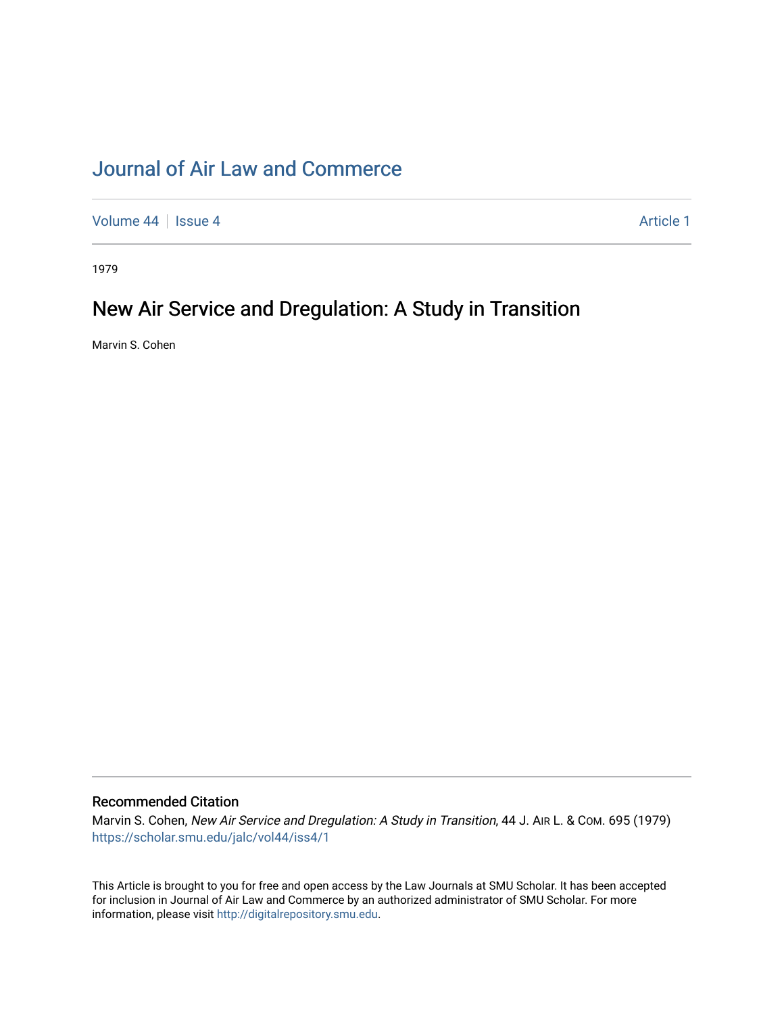## [Journal of Air Law and Commerce](https://scholar.smu.edu/jalc)

[Volume 44](https://scholar.smu.edu/jalc/vol44) | [Issue 4](https://scholar.smu.edu/jalc/vol44/iss4) Article 1

1979

## New Air Service and Dregulation: A Study in Transition

Marvin S. Cohen

## Recommended Citation

Marvin S. Cohen, New Air Service and Dregulation: A Study in Transition, 44 J. AIR L. & COM. 695 (1979) [https://scholar.smu.edu/jalc/vol44/iss4/1](https://scholar.smu.edu/jalc/vol44/iss4/1?utm_source=scholar.smu.edu%2Fjalc%2Fvol44%2Fiss4%2F1&utm_medium=PDF&utm_campaign=PDFCoverPages) 

This Article is brought to you for free and open access by the Law Journals at SMU Scholar. It has been accepted for inclusion in Journal of Air Law and Commerce by an authorized administrator of SMU Scholar. For more information, please visit [http://digitalrepository.smu.edu](http://digitalrepository.smu.edu/).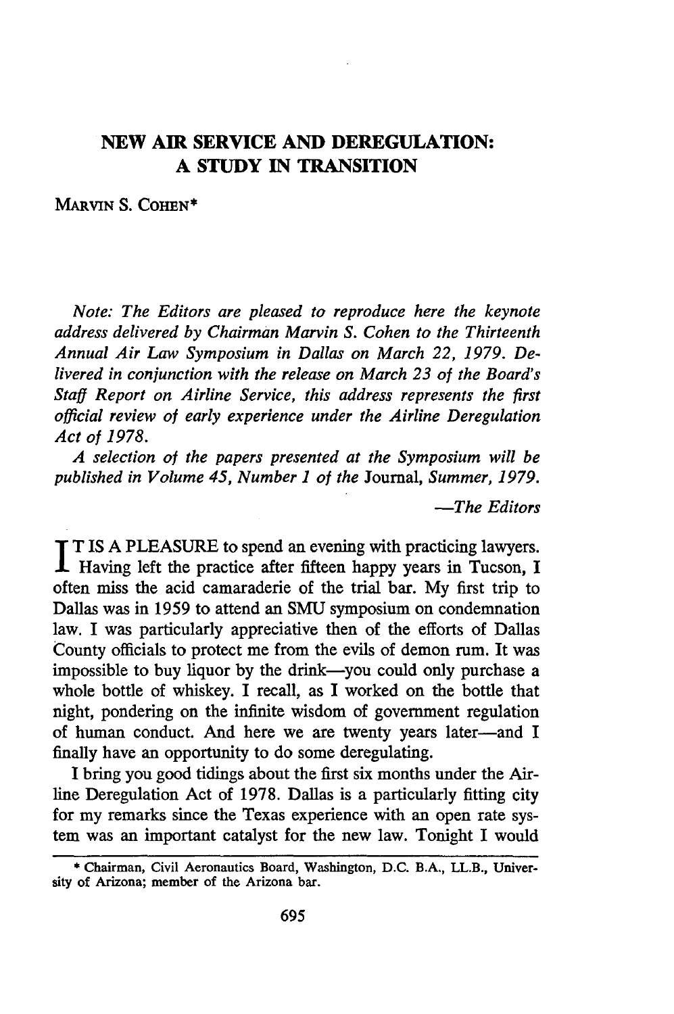## **NEW AIR SERVICE AND DEREGULATION: A STUDY IN TRANSITION**

MARVIN **S. COHEN\***

*Note: The Editors are pleased to reproduce here the keynote address delivered by Chairman Marvin S. Cohen to the Thirteenth Annual Air Law Symposium in Dallas on March 22, 1979. Delivered in conjunction with the release on March 23 of the Board's Staff Report on Airline Service, this address represents the first official review of early experience under the Airline Deregulation Act of 1978.*

*A selection of the papers presented at the Symposium will be published in Volume 45, Number I of the* Journal, *Summer, 1979.*

*-The Editors*

T T IS A PLEASURE to spend an evening with practicing lawyers. **1** Having left the practice after fifteen happy years in Tucson, I often miss the acid camaraderie of the trial bar. My first trip to Dallas was in 1959 to attend an SMU symposium on condemnation law. I was particularly appreciative then of the efforts of Dallas County officials to protect me from the evils of demon rum. It was impossible to buy liquor by the drink-you could only purchase a whole bottle of whiskey. I recall, as I worked on the bottle that night, pondering on the infinite wisdom of government regulation of human conduct. And here we are twenty years later-and I finally have an opportunity to do some deregulating.

I bring you good tidings about the first six months under the Airline Deregulation Act of 1978. Dallas is a particularly fitting city for my remarks since the Texas experience with an open rate system was an important catalyst for the new law. Tonight I would

<sup>\*</sup> Chairman, Civil Aeronautics Board, Washington, D.C. B.A., LL.B., University of Arizona; member of the Arizona bar.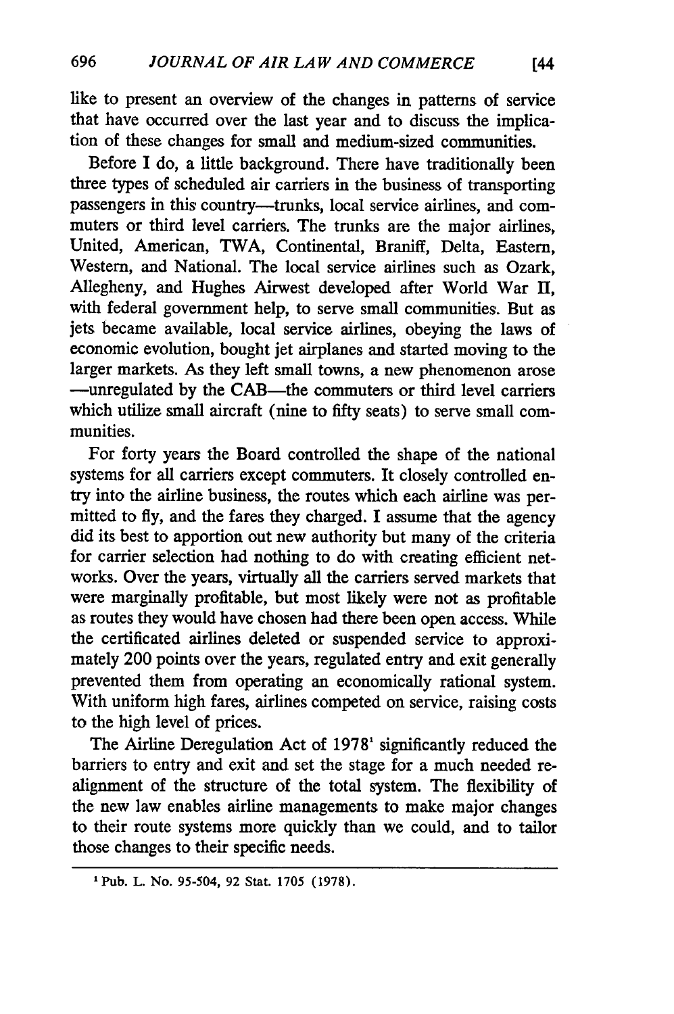like to present an overview of the changes in patterns of service that have occurred over the last year and to discuss the implication of these changes for small and medium-sized communities.

Before I do, a little background. There have traditionally been three types of scheduled air carriers in the business of transporting passengers in this country-trunks, local service airlines, and commuters or third level carriers. The trunks are the major airlines, United, American, TWA, Continental, Braniff, Delta, Eastern, Western, and National. The local service airlines such as Ozark, Allegheny, and Hughes Airwest developed after World War H, with federal government help, to serve small communities. But as jets became available, local service airlines, obeying the laws of economic evolution, bought jet airplanes and started moving to the larger markets. As they left small towns, a new phenomenon arose -unregulated by the CAB-the commuters or third level carriers which utilize small aircraft (nine to fifty seats) to serve small communities.

For forty years the Board controlled the shape of the national systems for all carriers except commuters. It closely controlled entry into the airline business, the routes which each airline was permitted to fly, and the fares they charged. I assume that the agency did its best to apportion out new authority but many of the criteria for carrier selection had nothing to do with creating efficient networks. Over the years, virtually all the carriers served markets that were marginally profitable, but most likely were not as profitable as routes they would have chosen had there been open access. While the certificated airlines deleted or suspended service to approximately 200 points over the years, regulated entry and exit generally prevented them from operating an economically rational system. With uniform high fares, airlines competed on service, raising costs to the high level of prices.

The Airline Deregulation Act of 1978' significantly reduced the barriers to entry and exit and set the stage for a much needed realignment of the structure of the total system. The flexibility of the new law enables airline managements to make major changes to their route systems more quickly than we could, and to tailor those changes to their specific needs.

<sup>&</sup>lt;sup>1</sup> Pub. L. No. 95-504, 92 Stat. 1705 (1978).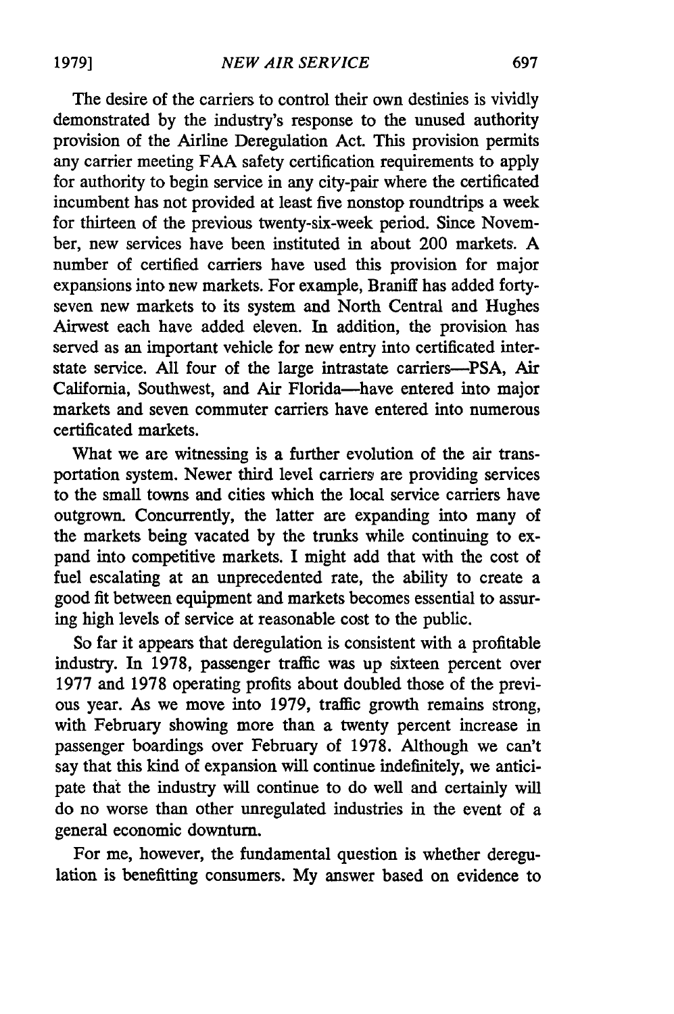The desire of the carriers to control their own destinies is vividly demonstrated by the industry's response to the unused authority provision of the Airline Deregulation Act. This provision permits any carrier meeting FAA safety certification requirements to apply for authority to begin service in any city-pair where the certificated incumbent has not provided at least five nonstop roundtrips a week for thirteen of the previous twenty-six-week period. Since November, new services have been instituted in about 200 markets. A number of certified carriers have used this provision for major expansions into new markets. For example, Braniff has added fortyseven new markets to its system and North Central and Hughes Airwest each have added eleven. In addition, the provision has served as an important vehicle for new entry into certificated interstate service. All four of the large intrastate carriers--PSA, Air California, Southwest, and Air Florida-have entered into major markets and seven commuter carriers have entered into numerous certificated markets.

What we are witnessing is a further evolution of the air transportation system. Newer third level carriers are providing services to the small towns and cities which the local service carriers have outgrown. Concurrently, the latter are expanding into many of the markets being vacated by the trunks while continuing to expand into competitive markets. I might add that with the cost of fuel escalating at an unprecedented rate, the ability to create a good fit between equipment and markets becomes essential to assuring high levels of service at reasonable cost to the public.

So far it appears that deregulation is consistent with a profitable industry. In 1978, passenger traffic was up sixteen percent over 1977 and 1978 operating profits about doubled those of the previous year. As we move into 1979, traffic growth remains strong, with February showing more than a twenty percent increase in passenger boardings over February of 1978. Although we can't say that this kind of expansion will continue indefinitely, we anticipate that the industry will continue to do well and certainly will do no worse than other unregulated industries in the event of a general economic downturn.

For me, however, the fundamental question is whether deregulation is benefitting consumers. My answer based on evidence to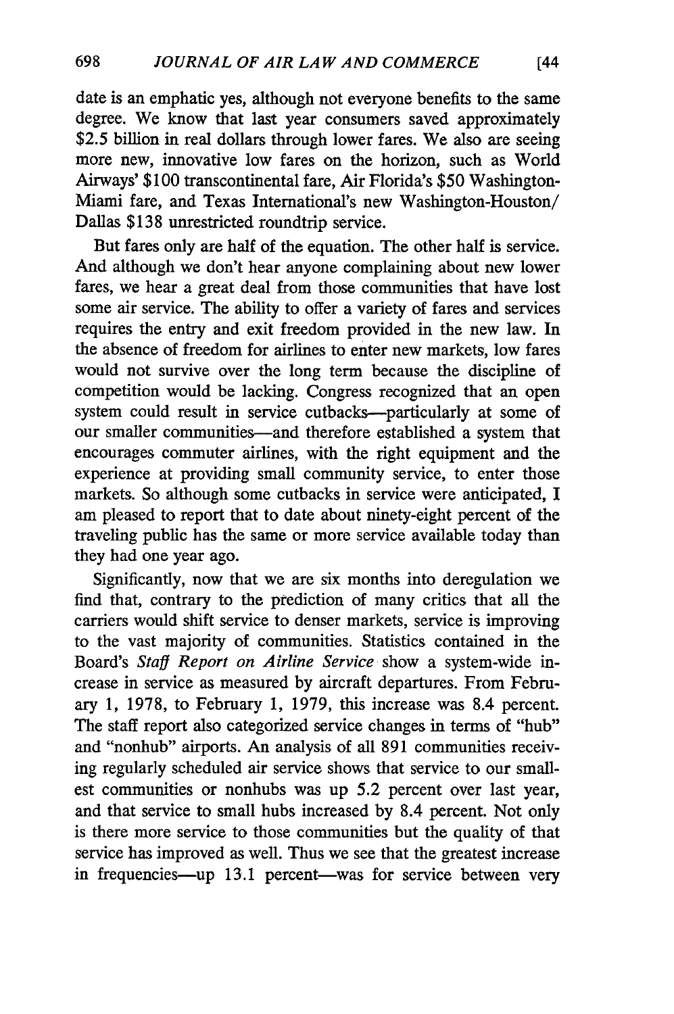698

date is an emphatic yes, although not everyone benefits to the same degree. We know that last year consumers saved approximately \$2.5 billion in real dollars through lower fares. We also are seeing more new, innovative low fares on the horizon, such as World Airways' \$100 transcontinental fare, Air Florida's \$50 Washington-Miami fare, and Texas International's new Washington-Houston/ Dallas \$138 unrestricted roundtrip service.

But fares only are half of the equation. The other half is service. And although we don't hear anyone complaining about new lower fares, we hear a great deal from those communities that have lost some air service. The ability to offer a variety of fares and services requires the entry and exit freedom provided in the new law. **In** the absence of freedom for airlines to enter new markets, low fares would not survive over the long term because the discipline of competition would be lacking. Congress recognized that an open system could result in service cutbacks-particularly at some of our smaller communities-and therefore established a system that encourages commuter airlines, with the right equipment and the experience at providing small community service, to enter those markets. So although some cutbacks in service were anticipated, I am pleased to report that to date about ninety-eight percent of the traveling public has the same or more service available today than they had one year ago.

Significantly, now that we are six months into deregulation we find that, contrary to the prediction of many critics that all the carriers would shift service to denser markets, service is improving to the vast majority of communities. Statistics contained in the Board's *Staff Report on Airline Service* show a system-wide increase in service as measured by aircraft departures. From February 1, 1978, to February 1, 1979, this increase was 8.4 percent. The staff report also categorized service changes in terms of "hub" and "nonhub" airports. An analysis of all 891 communities receiving regularly scheduled air service shows that service to our smallest communities or nonhubs was up 5.2 percent over last year, and that service to small hubs increased by 8.4 percent. Not only is there more service to those communities but the quality of that service has improved as well. Thus we see that the greatest increase in frequencies-up 13.1 percent-was for service between very

 $[44]$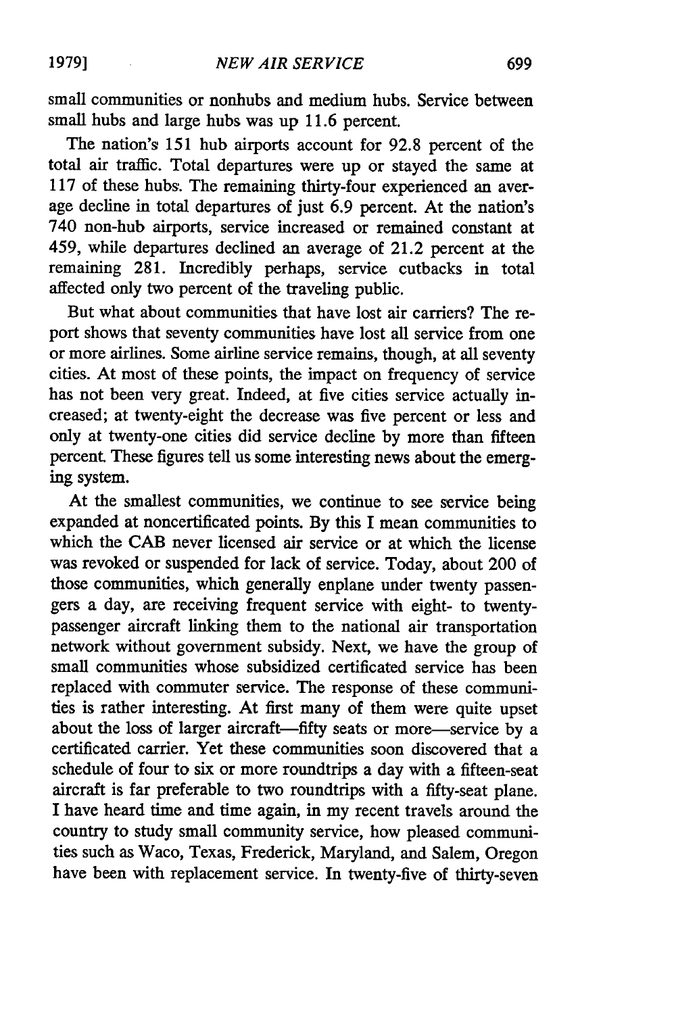small communities or nonhubs and medium hubs. Service between small hubs and large hubs was up 11.6 percent.

The nation's 151 hub airports account for 92.8 percent of the total air traffic. Total departures were up or stayed the same at 117 of these hubs. The remaining thirty-four experienced an average decline in total departures of just 6.9 percent. At the nation's 740 non-hub airports, service increased or remained constant at 459, while departures declined an average of 21.2 percent at the remaining 281. Incredibly perhaps, service cutbacks in total affected only two percent of the traveling public.

But what about communities that have lost air carriers? The report shows that seventy communities have lost all service from one or more airlines. Some airline service remains, though, at all seventy cities. At most of these points, the impact on frequency of service has not been very great. Indeed, at five cities service actually increased; at twenty-eight the decrease was five percent or less and only at twenty-one cities did service decline by more than fifteen percent. These figures tell us some interesting news about the emerging system.

At the smallest communities, we continue to see service being expanded at noncertificated points. By this I mean communities to which the **CAB** never licensed air service or at which the license was revoked or suspended for lack of service. Today, about 200 of those communities, which generally enplane under twenty passengers a day, are receiving frequent service with eight- to twentypassenger aircraft linking them to the national air transportation network without government subsidy. Next, we have the group of small communities whose subsidized certificated service has been replaced with commuter service. The response of these communities is rather interesting. At first many of them were quite upset about the loss of larger aircraft-fifty seats or more-service by a certificated carrier. Yet these communities soon discovered that a schedule of four to six or more roundtrips a day with a fifteen-seat aircraft is far preferable to two roundtrips with a fifty-seat plane. I have heard time and time again, in my recent travels around the country to study small community service, how pleased communities such as Waco, Texas, Frederick, Maryland, and Salem, Oregon have been with replacement service. In twenty-five of thirty-seven

**1979]**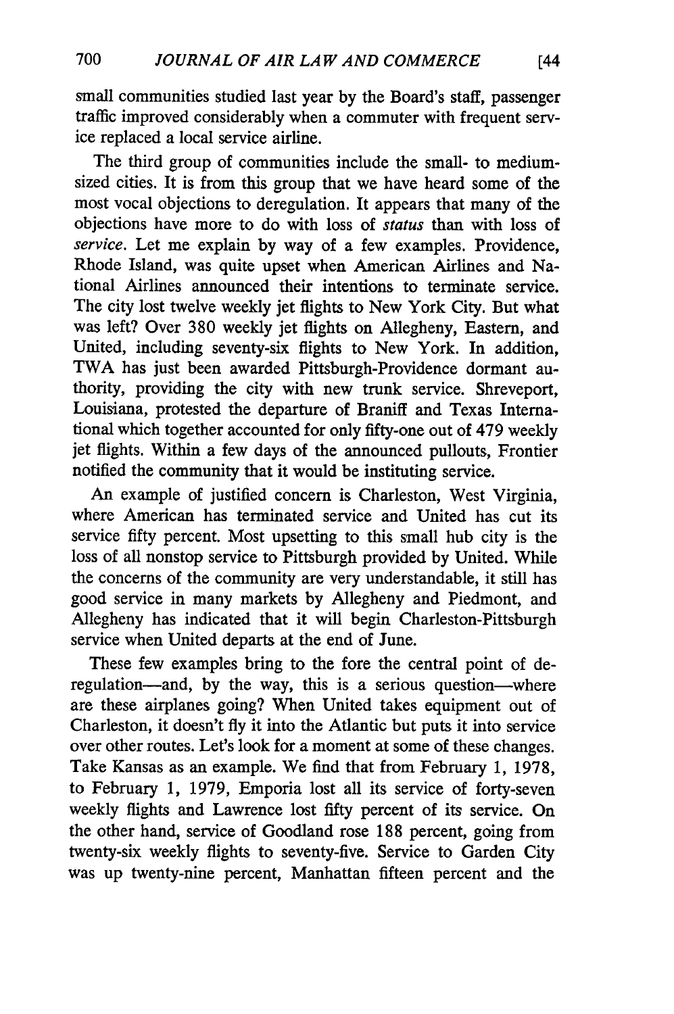small communities studied last year by the Board's staff, passenger traffic improved considerably when a commuter with frequent service replaced a local service airline.

The third group of communities include the small- to mediumsized cities. It is from this group that we have heard some of the most vocal objections to deregulation. It appears that many of the objections have more to do with loss of *status* than with loss of *service.* Let me explain by way of a few examples. Providence, Rhode Island, was quite upset when American Airlines and National Airlines announced their intentions to terminate service. The city lost twelve weekly jet flights to New York City. But what was left? Over 380 weekly jet flights on Allegheny, Eastern, and United, including seventy-six flights to New York. In addition, TWA has just been awarded Pittsburgh-Providence dormant authority, providing the city with new trunk service. Shreveport, Louisiana, protested the departure of Braniff and Texas International which together accounted for only fifty-one out of 479 weekly jet flights. Within a few days of the announced pullouts, Frontier notified the community that it would be instituting service.

An example of justified concern is Charleston, West Virginia, where American has terminated service and United has cut its service fifty percent. Most upsetting to this small hub city is the loss of all nonstop service to Pittsburgh provided by United. While the concerns of the community are very understandable, it still has good service in many markets by Allegheny and Piedmont, and Allegheny has indicated that it will begin Charleston-Pittsburgh service when United departs at the end of June.

These few examples bring to the fore the central point of deregulation—and, by the way, this is a serious question—where are these airplanes going? When United takes equipment out of Charleston, it doesn't fly it into the Atlantic but puts it into service over other routes. Let's look for a moment at some of these changes. Take Kansas as an example. We find that from February 1, 1978, to February 1, 1979, Emporia lost all its service of forty-seven weekly flights and Lawrence lost fifty percent of its service. On the other hand, service of Goodland rose 188 percent, going from twenty-six weekly flights to seventy-five. Service to Garden City was up twenty-nine percent, Manhattan fifteen percent and the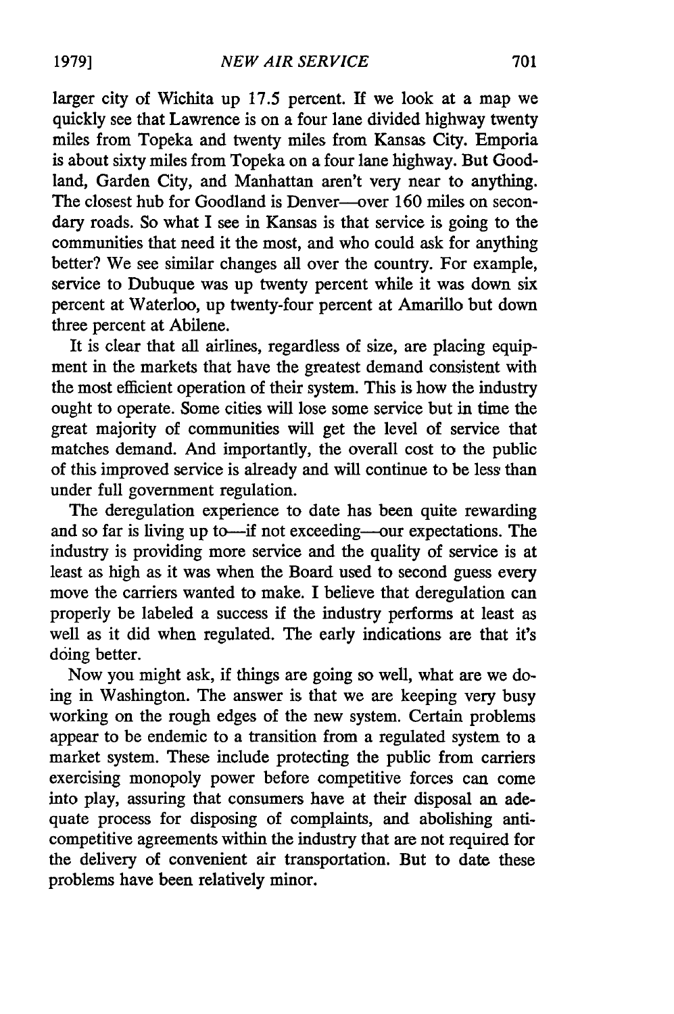larger city of Wichita up 17.5 percent. **If** we look at a map we quickly see that Lawrence is on a four lane divided highway twenty miles from Topeka and twenty miles from Kansas City. Emporia is about sixty miles from Topeka on a four lane highway. But Goodland, Garden City, and Manhattan aren't very near to anything. The closest hub for Goodland is Denver--over 160 miles on secondary roads. So what I see in Kansas is that service is going to the communities that need it the most, and who could ask for anything better? We see similar changes all over the country. For example, service to Dubuque was up twenty percent while it was down six percent at Waterloo, up twenty-four percent at Amarillo but down three percent at Abilene.

It is clear that all airlines, regardless of size, are placing equipment in the markets that have the greatest demand consistent with the most efficient operation of their system. This is how the industry ought to operate. Some cities will lose some service but in time the great majority of communities will get the level of service that matches demand. And importantly, the overall cost to the public of this improved service is already and will continue to be less than under full government regulation.

The deregulation experience to date has been quite rewarding and so far is living up to-if not exceeding-our expectations. The industry is providing more service and the quality of service is at least as high as it was when the Board used to second guess every move the carriers wanted to make. I believe that deregulation can properly be labeled a success **if** the industry performs at least as well as it did when regulated. The early indications are that it's doing better.

Now you might ask, if things are going so well, what are we doing in Washington. The answer is that we are keeping very busy working on the rough edges of the new system. Certain problems appear to be endemic to a transition from a regulated system to a market system. These include protecting the public from carriers exercising monopoly power before competitive forces can come into play, assuring that consumers have at their disposal an adequate process for disposing of complaints, and abolishing anticompetitive agreements within the industry that are not required for the delivery of convenient air transportation. But to date these problems have been relatively minor.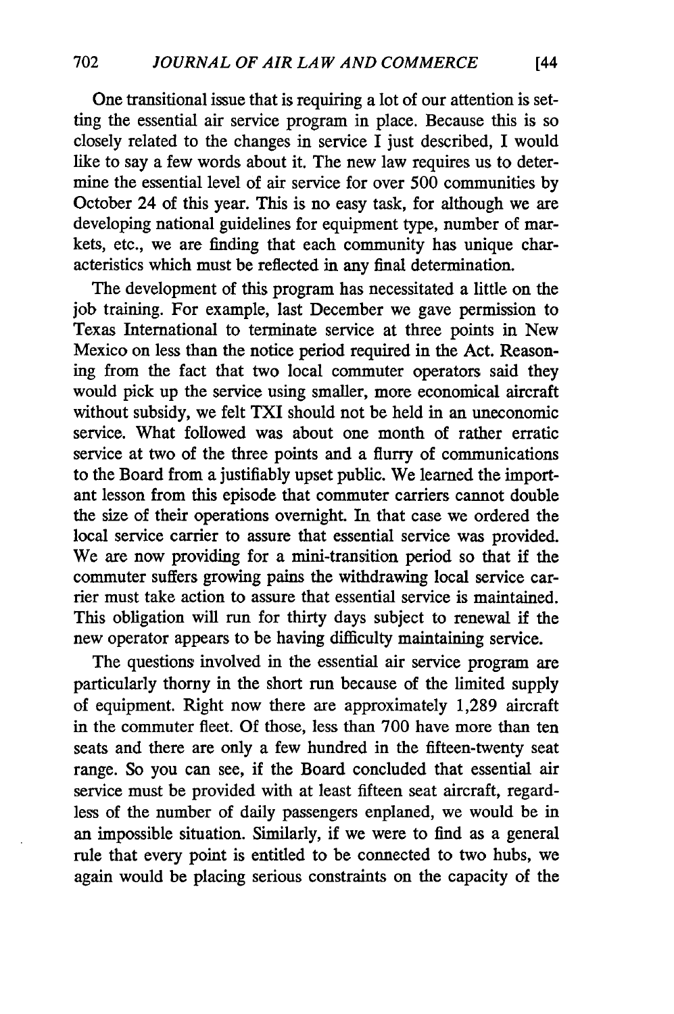One transitional issue that is requiring a lot of our attention is setting the essential air service program in place. Because this is so closely related to the changes in service I just described, I would like to say a few words about it. The new law requires us to determine the essential level of air service for over 500 communities by October 24 of this year. This is no easy task, for although we are developing national guidelines for equipment type, number of markets, etc., we are finding that each community has unique characteristics which must be reflected in any final determination.

The development of this program has necessitated a little on the job training. For example, last December we gave permission to Texas International to terminate service at three points in New Mexico on less than the notice period required in the Act. Reasoning from the fact that two local commuter operators said they would pick up the service using smaller, more economical aircraft without subsidy, we felt TXI should not be held in an uneconomic service. What followed was about one month of rather erratic service at two of the three points and a flurry of communications to the Board from a justifiably upset public. We learned the important lesson from this episode that commuter carriers cannot double the size of their operations overnight. In that case we ordered the local service carrier to assure that essential service was provided. We are now providing for a mini-transition period so that if the commuter suffers growing pains the withdrawing local service carrier must take action to assure that essential service is maintained. This obligation will run for thirty days subject to renewal if the new operator appears to be having difficulty maintaining service.

The questions involved in the essential air service program are particularly thorny in the short run because of the limited supply of equipment. Right now there are approximately 1,289 aircraft in the commuter fleet. Of those, less than 700 have more than ten seats and there are only a few hundred in the fifteen-twenty seat range. So you can see, if the Board concluded that essential air service must be provided with at least fifteen seat aircraft, regardless of the number of daily passengers enplaned, we would be in an impossible situation. Similarly, if we were to find as a general rule that every point is entitled to be connected to two hubs, we again would be placing serious constraints on the capacity of the

 $[44]$